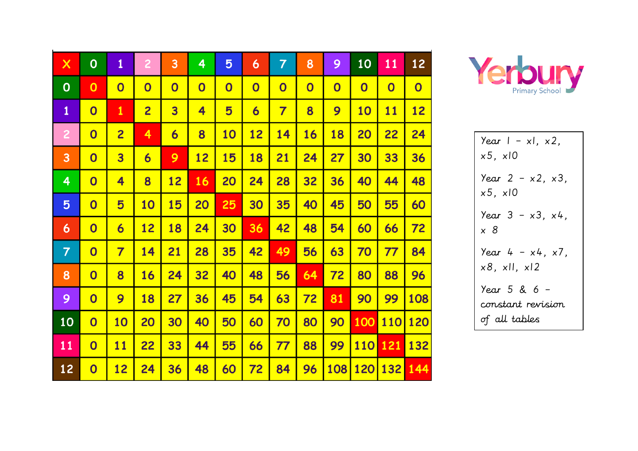| $\boldsymbol{\mathsf{X}}$ | $\mathbf 0$             | $\mathbf{1}$            | $\overline{2}$          | 3                       | 4                       | 5                       | 6                       | $\overline{7}$          | 8                       | 9                       | 10                      | 11                      | 12                      |
|---------------------------|-------------------------|-------------------------|-------------------------|-------------------------|-------------------------|-------------------------|-------------------------|-------------------------|-------------------------|-------------------------|-------------------------|-------------------------|-------------------------|
| $\mathbf 0$               | $\mathbf 0$             | $\overline{\mathbf{0}}$ | $\overline{\mathbf{0}}$ | $\overline{\mathbf{0}}$ | $\overline{\mathbf{0}}$ | $\overline{\mathbf{0}}$ | $\overline{\mathbf{0}}$ | $\overline{\mathbf{0}}$ | $\overline{\mathbf{O}}$ | $\overline{\mathbf{0}}$ | $\overline{\mathbf{0}}$ | $\overline{\mathbf{0}}$ | $\overline{\mathbf{O}}$ |
| $\mathbf{1}$              | $\overline{\mathbf{0}}$ | $\mathbf{1}$            | $\overline{2}$          | $\overline{\mathbf{3}}$ | 4                       | 5                       | $\overline{\mathbf{6}}$ | $\overline{\mathbf{7}}$ | 8                       | 9                       | <b>10</b>               | 11                      | 12                      |
| $\overline{2}$            | $\overline{\mathbf{0}}$ | $\overline{2}$          | 4                       | 6                       | 8                       | 10                      | 12                      | 14                      | 16                      | 18                      | 20                      | 22                      | 24                      |
| 3                         | $\overline{\mathbf{0}}$ | 3                       | 6                       | 9                       | 12                      | 15                      | 18                      | 21                      | 24                      | 27                      | 30                      | 33                      | 36                      |
| 4                         | $\overline{\mathbf{0}}$ | 4                       | 8                       | <u>12</u>               | <b>16</b>               | <b>20</b>               | 24                      | 28                      | 32                      | 36                      | 40                      | 44                      | 48                      |
| 5                         | $\overline{\mathbf{0}}$ | 5                       | 10                      | 15                      | 20                      | 25                      | 30                      | 35                      | 40                      | 45                      | 50                      | 55                      | 60                      |
| 6                         | $\overline{\mathbf{0}}$ | $\overline{\mathbf{6}}$ | 12                      | 18                      | 24                      | 30                      | 36                      | 42                      | 48                      | 54                      | 60                      | 66                      | 72                      |
| $\overline{7}$            | $\overline{\mathbf{0}}$ | $\overline{\mathbf{7}}$ | 14                      | 21                      | 28                      | 35                      | 42                      | 49                      | 56                      | 63                      | 70                      | 77                      | 84                      |
| 8                         | $\overline{\mathbf{0}}$ | 8                       | 16                      | 24                      | 32                      | 40                      | 48                      | 56                      | 64                      | 72                      | 80                      | 88                      | 96                      |
| 9                         | $\overline{\mathbf{0}}$ | 9                       | 18                      | 27                      | 36                      | 45                      | 54                      | 63                      | 72                      | 81                      | 90                      | 99                      | 108                     |
| 10                        | $\overline{\mathbf{0}}$ | 10                      | 20                      | 30                      | 40                      | 50                      | 60                      | 70                      | 80                      | 90                      | 100                     | <b>110</b>              | 120                     |
| 11                        | $\overline{\mathbf{0}}$ | 11                      | 22                      | 33                      | 44                      | 55                      | 66                      | 77                      | 88                      | 99                      | <b>110</b>              | <b>121</b>              | 132                     |
| 12                        | $\overline{\mathbf{0}}$ | 12                      | 24                      | 36                      | 48                      | 60                      | 72                      | 84                      | 96                      | 108                     | 120                     | 132                     | 144                     |



\n
$$
\begin{array}{r}\n \text{Year } 1 - x1, x2, \\
\times 5, x10 \\
\text{Year } 2 - x2, x3, \\
\times 5, x10 \\
\text{Year } 3 - x3, x4, \\
\times 8 \\
\text{Year } 4 - x4, x7, \\
\times 8, x11, x12 \\
\text{Year } 5 & 6 - \\
\text{constant revision} \\
\text{of all tables}\n \end{array}
$$
\n